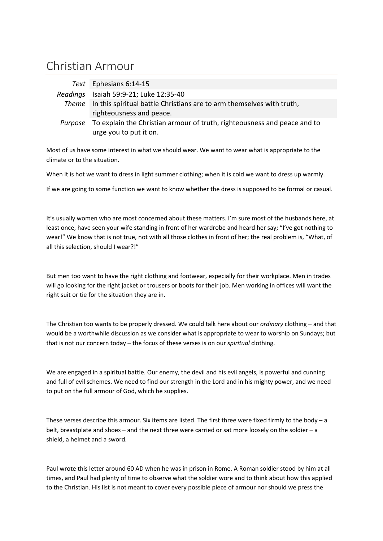## Christian Armour

|         | Text   Ephesians 6:14-15                                                      |
|---------|-------------------------------------------------------------------------------|
|         | Readings   Isaiah 59:9-21; Luke 12:35-40                                      |
|         | Theme   In this spiritual battle Christians are to arm themselves with truth, |
|         | righteousness and peace.                                                      |
| Purpose | To explain the Christian armour of truth, righteousness and peace and to      |
|         | urge you to put it on.                                                        |

Most of us have some interest in what we should wear. We want to wear what is appropriate to the climate or to the situation.

When it is hot we want to dress in light summer clothing; when it is cold we want to dress up warmly.

If we are going to some function we want to know whether the dress is supposed to be formal or casual.

It's usually women who are most concerned about these matters. I'm sure most of the husbands here, at least once, have seen your wife standing in front of her wardrobe and heard her say; "I've got nothing to wear!" We know that is not true, not with all those clothes in front of her; the real problem is, "What, of all this selection, should I wear?!"

But men too want to have the right clothing and footwear, especially for their workplace. Men in trades will go looking for the right jacket or trousers or boots for their job. Men working in offices will want the right suit or tie for the situation they are in.

The Christian too wants to be properly dressed. We could talk here about our *ordinary* clothing – and that would be a worthwhile discussion as we consider what is appropriate to wear to worship on Sundays; but that is not our concern today – the focus of these verses is on our *spiritual* clothing.

We are engaged in a spiritual battle. Our enemy, the devil and his evil angels, is powerful and cunning and full of evil schemes. We need to find our strength in the Lord and in his mighty power, and we need to put on the full armour of God, which he supplies.

These verses describe this armour. Six items are listed. The first three were fixed firmly to the body – a belt, breastplate and shoes – and the next three were carried or sat more loosely on the soldier – a shield, a helmet and a sword.

Paul wrote this letter around 60 AD when he was in prison in Rome. A Roman soldier stood by him at all times, and Paul had plenty of time to observe what the soldier wore and to think about how this applied to the Christian. His list is not meant to cover every possible piece of armour nor should we press the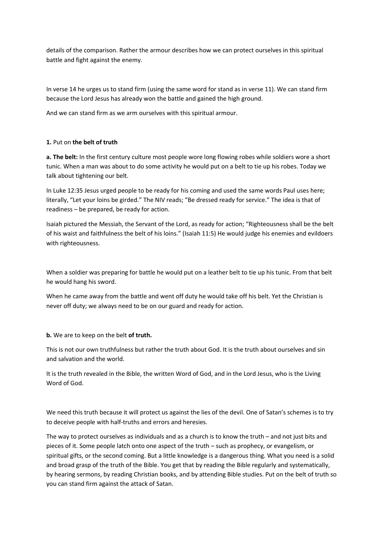details of the comparison. Rather the armour describes how we can protect ourselves in this spiritual battle and fight against the enemy.

In verse 14 he urges us to stand firm (using the same word for stand as in verse 11). We can stand firm because the Lord Jesus has already won the battle and gained the high ground.

And we can stand firm as we arm ourselves with this spiritual armour.

## **1.** Put on **the belt of truth**

**a. The belt:** In the first century culture most people wore long flowing robes while soldiers wore a short tunic. When a man was about to do some activity he would put on a belt to tie up his robes. Today we talk about tightening our belt.

In Luke 12:35 Jesus urged people to be ready for his coming and used the same words Paul uses here; literally, "Let your loins be girded." The NIV reads; "Be dressed ready for service." The idea is that of readiness – be prepared, be ready for action.

Isaiah pictured the Messiah, the Servant of the Lord, as ready for action; "Righteousness shall be the belt of his waist and faithfulness the belt of his loins." (Isaiah 11:5) He would judge his enemies and evildoers with righteousness.

When a soldier was preparing for battle he would put on a leather belt to tie up his tunic. From that belt he would hang his sword.

When he came away from the battle and went off duty he would take off his belt. Yet the Christian is never off duty; we always need to be on our guard and ready for action.

**b.** We are to keep on the belt **of truth.**

This is not our own truthfulness but rather the truth about God. It is the truth about ourselves and sin and salvation and the world.

It is the truth revealed in the Bible, the written Word of God, and in the Lord Jesus, who is the Living Word of God.

We need this truth because it will protect us against the lies of the devil. One of Satan's schemes is to try to deceive people with half-truths and errors and heresies.

The way to protect ourselves as individuals and as a church is to know the truth – and not just bits and pieces of it. Some people latch onto one aspect of the truth – such as prophecy, or evangelism, or spiritual gifts, or the second coming. But a little knowledge is a dangerous thing. What you need is a solid and broad grasp of the truth of the Bible. You get that by reading the Bible regularly and systematically, by hearing sermons, by reading Christian books, and by attending Bible studies. Put on the belt of truth so you can stand firm against the attack of Satan.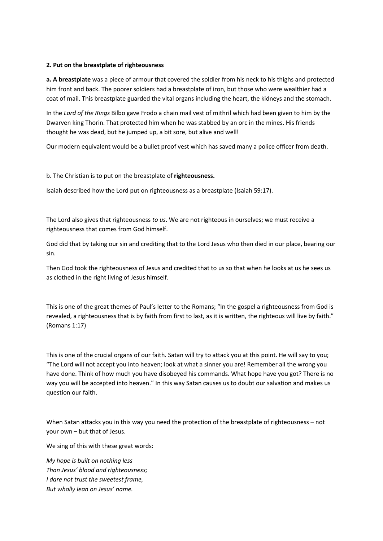## **2. Put on the breastplate of righteousness**

**a. A breastplate** was a piece of armour that covered the soldier from his neck to his thighs and protected him front and back. The poorer soldiers had a breastplate of iron, but those who were wealthier had a coat of mail. This breastplate guarded the vital organs including the heart, the kidneys and the stomach.

In the *Lord of the Rings* Bilbo gave Frodo a chain mail vest of mithril which had been given to him by the Dwarven king Thorin. That protected him when he was stabbed by an orc in the mines. His friends thought he was dead, but he jumped up, a bit sore, but alive and well!

Our modern equivalent would be a bullet proof vest which has saved many a police officer from death.

## b. The Christian is to put on the breastplate of **righteousness.**

Isaiah described how the Lord put on righteousness as a breastplate (Isaiah 59:17).

The Lord also gives that righteousness *to us*. We are not righteous in ourselves; we must receive a righteousness that comes from God himself.

God did that by taking our sin and crediting that to the Lord Jesus who then died in our place, bearing our sin.

Then God took the righteousness of Jesus and credited that to us so that when he looks at us he sees us as clothed in the right living of Jesus himself.

This is one of the great themes of Paul's letter to the Romans; "In the gospel a righteousness from God is revealed, a righteousness that is by faith from first to last, as it is written, the righteous will live by faith." (Romans 1:17)

This is one of the crucial organs of our faith. Satan will try to attack you at this point. He will say to you; "The Lord will not accept you into heaven; look at what a sinner you are! Remember all the wrong you have done. Think of how much you have disobeyed his commands. What hope have you got? There is no way you will be accepted into heaven." In this way Satan causes us to doubt our salvation and makes us question our faith.

When Satan attacks you in this way you need the protection of the breastplate of righteousness – not your own – but that of Jesus.

We sing of this with these great words:

*My hope is built on nothing less Than Jesus' blood and righteousness; I dare not trust the sweetest frame, But wholly lean on Jesus' name.*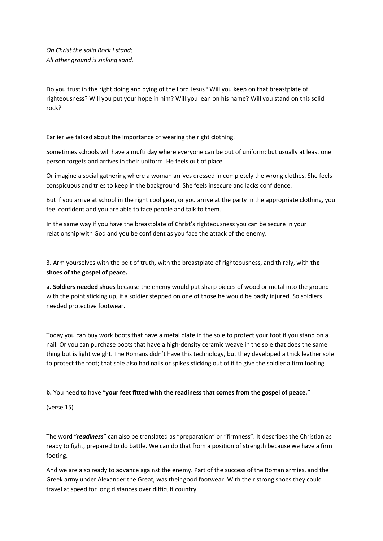*On Christ the solid Rock I stand; All other ground is sinking sand.*

Do you trust in the right doing and dying of the Lord Jesus? Will you keep on that breastplate of righteousness? Will you put your hope in him? Will you lean on his name? Will you stand on this solid rock?

Earlier we talked about the importance of wearing the right clothing.

Sometimes schools will have a mufti day where everyone can be out of uniform; but usually at least one person forgets and arrives in their uniform. He feels out of place.

Or imagine a social gathering where a woman arrives dressed in completely the wrong clothes. She feels conspicuous and tries to keep in the background. She feels insecure and lacks confidence.

But if you arrive at school in the right cool gear, or you arrive at the party in the appropriate clothing, you feel confident and you are able to face people and talk to them.

In the same way if you have the breastplate of Christ's righteousness you can be secure in your relationship with God and you be confident as you face the attack of the enemy.

3. Arm yourselves with the belt of truth, with the breastplate of righteousness, and thirdly, with **the shoes of the gospel of peace.**

**a. Soldiers needed shoes** because the enemy would put sharp pieces of wood or metal into the ground with the point sticking up; if a soldier stepped on one of those he would be badly injured. So soldiers needed protective footwear.

Today you can buy work boots that have a metal plate in the sole to protect your foot if you stand on a nail. Or you can purchase boots that have a high-density ceramic weave in the sole that does the same thing but is light weight. The Romans didn't have this technology, but they developed a thick leather sole to protect the foot; that sole also had nails or spikes sticking out of it to give the soldier a firm footing.

**b.** You need to have "**your feet fitted with the readiness that comes from the gospel of peace.**"

(verse 15)

The word "*readiness*" can also be translated as "preparation" or "firmness". It describes the Christian as ready to fight, prepared to do battle. We can do that from a position of strength because we have a firm footing.

And we are also ready to advance against the enemy. Part of the success of the Roman armies, and the Greek army under Alexander the Great, was their good footwear. With their strong shoes they could travel at speed for long distances over difficult country.